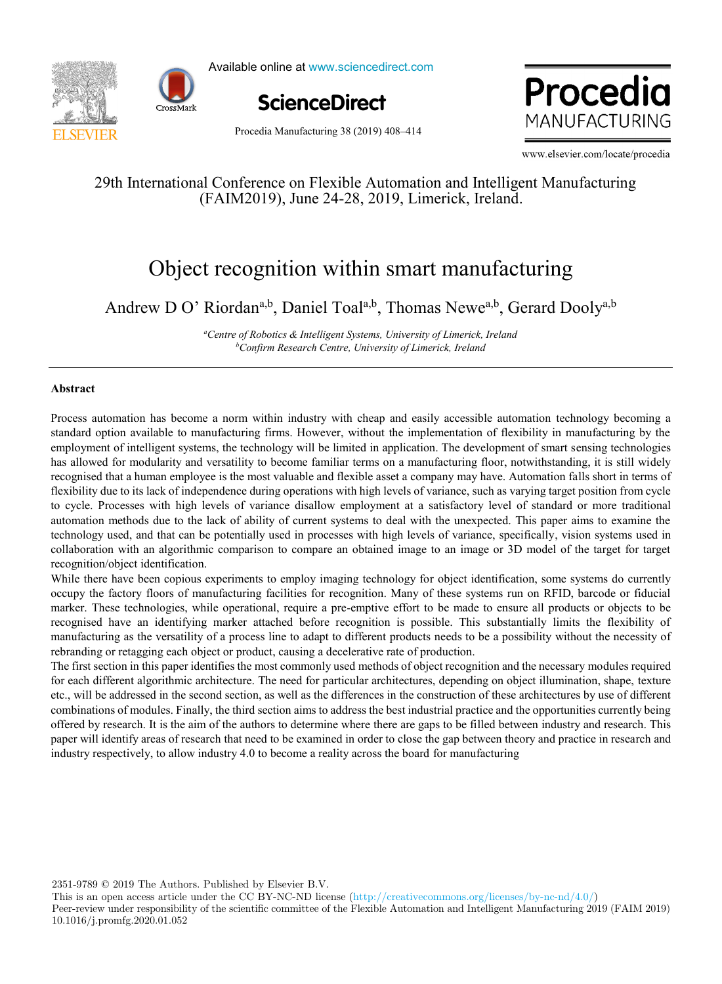



Available online at www.sciencedirect.com



Procedia MANUFACTURING

Procedia Manufacturing 38 (2019) 408–414

www.elsevier.com/locate/procedia

# 29th International Conference on Flexible Automation and Intelligent Manufacturing (FAIM2019), June 24-28, 2019, Limerick, Ireland.

# Object recognition within smart manufacturing

Andrew D O' Riordan<sup>a,b</sup>, Daniel Toal<sup>a,b</sup>, Thomas Newe<sup>a,b</sup>, Gerard Dooly<sup>a,b</sup>

*a Centre of Robotics & Intelligent Systems, University of Limerick, Ireland b Confirm Research Centre, University of Limerick, Ireland*

#### **Abstract**

Process automation has become a norm within industry with cheap and easily accessible automation technology becoming a standard option available to manufacturing firms. However, without the implementation of flexibility in manufacturing by the employment of intelligent systems, the technology will be limited in application. The development of smart sensing technologies has allowed for modularity and versatility to become familiar terms on a manufacturing floor, notwithstanding, it is still widely recognised that a human employee is the most valuable and flexible asset a company may have. Automation falls short in terms of flexibility due to its lack of independence during operations with high levels of variance, such as varying target position from cycle to cycle. Processes with high levels of variance disallow employment at a satisfactory level of standard or more traditional automation methods due to the lack of ability of current systems to deal with the unexpected. This paper aims to examine the technology used, and that can be potentially used in processes with high levels of variance, specifically, vision systems used in collaboration with an algorithmic comparison to compare an obtained image to an image or 3D model of the target for target recognition/object identification.

While there have been copious experiments to employ imaging technology for object identification, some systems do currently occupy the factory floors of manufacturing facilities for recognition. Many of these systems run on RFID, barcode or fiducial marker. These technologies, while operational, require a pre-emptive effort to be made to ensure all products or objects to be recognised have an identifying marker attached before recognition is possible. This substantially limits the flexibility of manufacturing as the versatility of a process line to adapt to different products needs to be a possibility without the necessity of rebranding or retagging each object or product, causing a decelerative rate of production.

The first section in this paper identifies the most commonly used methods of object recognition and the necessary modules required for each different algorithmic architecture. The need for particular architectures, depending on object illumination, shape, texture etc., will be addressed in the second section, as well as the differences in the construction of these architectures by use of different combinations of modules. Finally, the third section aims to address the best industrial practice and the opportunities currently being offered by research. It is the aim of the authors to determine where there are gaps to be filled between industry and research. This paper will identify areas of research that need to be examined in order to close the gap between theory and practice in research and industry respectively, to allow industry 4.0 to become a reality across the board for manufacturing

2351-9789 © 2019 The Authors. Published by Elsevier B.V.

This is an open access article under the CC BY-NC-ND license (http://creativecommons.org/licenses/by-nc-nd/4.0/) Peer-review under responsibility of the scientific committee of the Flexible Automation and Intelligent Manufacturing 2019 (FAIM 2019) 10.1016/j.promfg.2020.01.052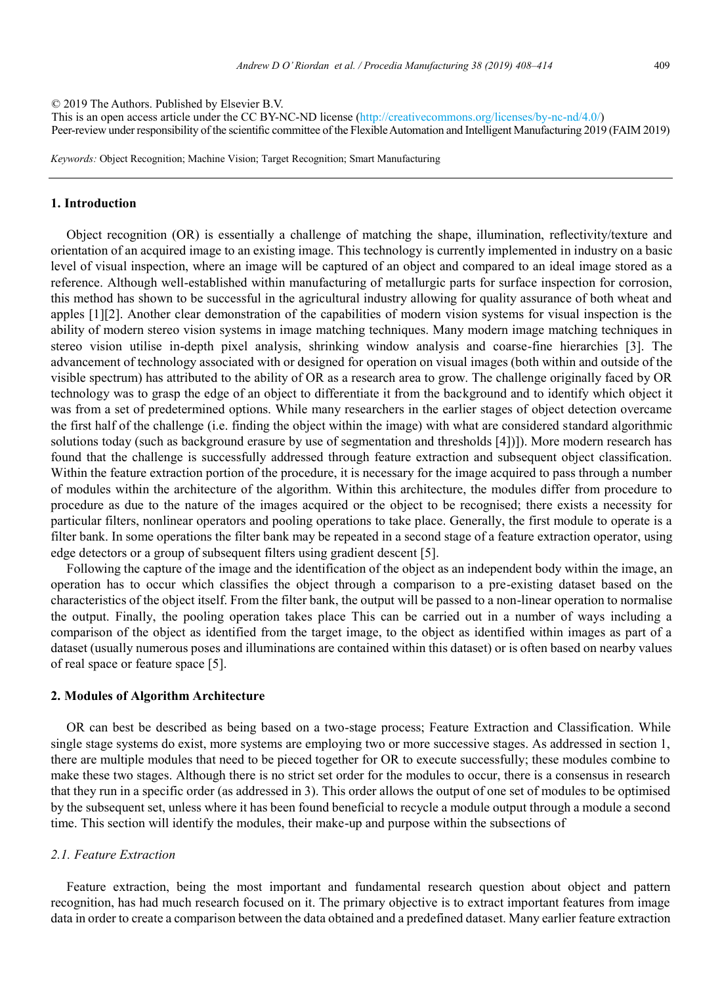2 *Andrew D. O' Riordan / Procedia Manufacturing 00 (2019) 000–000* © 2019 The Authors. Published by Elsevier B.V.

Peer-review under responsibility of the scientific committee of the Flexible Automation and Intelligent Manufacturing 2019 (FAIM 2019) This is an open access article under the CC BY-NC-ND license (http://creativecommons.org/licenses/by-nc-nd/4.0/)

*Keywords:* Object Recognition; Machine Vision; Target Recognition; Smart Manufacturing

# **1. Introduction**

Object recognition (OR) is essentially a challenge of matching the shape, illumination, reflectivity/texture and orientation of an acquired image to an existing image. This technology is currently implemented in industry on a basic level of visual inspection, where an image will be captured of an object and compared to an ideal image stored as a reference. Although well-established within manufacturing of metallurgic parts for surface inspection for corrosion, this method has shown to be successful in the agricultural industry allowing for quality assurance of both wheat and apples [1][2]. Another clear demonstration of the capabilities of modern vision systems for visual inspection is the ability of modern stereo vision systems in image matching techniques. Many modern image matching techniques in stereo vision utilise in-depth pixel analysis, shrinking window analysis and coarse-fine hierarchies [3]. The advancement of technology associated with or designed for operation on visual images (both within and outside of the visible spectrum) has attributed to the ability of OR as a research area to grow. The challenge originally faced by OR technology was to grasp the edge of an object to differentiate it from the background and to identify which object it was from a set of predetermined options. While many researchers in the earlier stages of object detection overcame the first half of the challenge (i.e. finding the object within the image) with what are considered standard algorithmic solutions today (such as background erasure by use of segmentation and thresholds [4])]). More modern research has found that the challenge is successfully addressed through feature extraction and subsequent object classification. Within the feature extraction portion of the procedure, it is necessary for the image acquired to pass through a number of modules within the architecture of the algorithm. Within this architecture, the modules differ from procedure to procedure as due to the nature of the images acquired or the object to be recognised; there exists a necessity for particular filters, nonlinear operators and pooling operations to take place. Generally, the first module to operate is a filter bank. In some operations the filter bank may be repeated in a second stage of a feature extraction operator, using edge detectors or a group of subsequent filters using gradient descent [5].

Following the capture of the image and the identification of the object as an independent body within the image, an operation has to occur which classifies the object through a comparison to a pre-existing dataset based on the characteristics of the object itself. From the filter bank, the output will be passed to a non-linear operation to normalise the output. Finally, the pooling operation takes place This can be carried out in a number of ways including a comparison of the object as identified from the target image, to the object as identified within images as part of a dataset (usually numerous poses and illuminations are contained within this dataset) or is often based on nearby values of real space or feature space [5].

# **2. Modules of Algorithm Architecture**

OR can best be described as being based on a two-stage process; Feature Extraction and Classification. While single stage systems do exist, more systems are employing two or more successive stages. As addressed in section 1, there are multiple modules that need to be pieced together for OR to execute successfully; these modules combine to make these two stages. Although there is no strict set order for the modules to occur, there is a consensus in research that they run in a specific order (as addressed in 3). This order allows the output of one set of modules to be optimised by the subsequent set, unless where it has been found beneficial to recycle a module output through a module a second time. This section will identify the modules, their make-up and purpose within the subsections of

# *2.1. Feature Extraction*

Feature extraction, being the most important and fundamental research question about object and pattern recognition, has had much research focused on it. The primary objective is to extract important features from image data in order to create a comparison between the data obtained and a predefined dataset. Many earlier feature extraction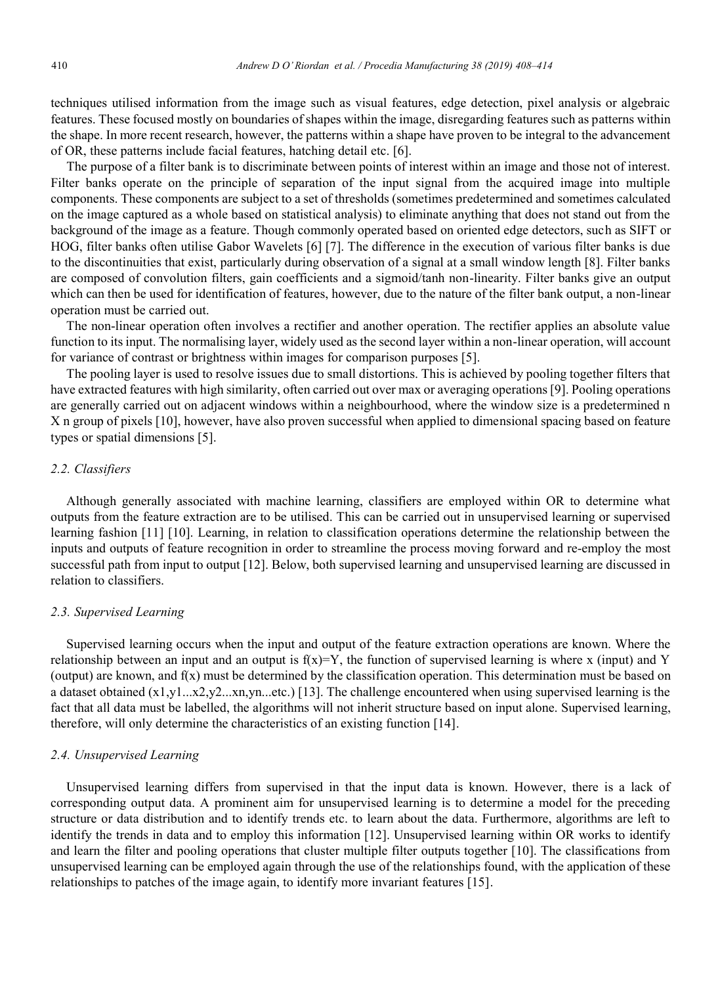techniques utilised information from the image such as visual features, edge detection, pixel analysis or algebraic features. These focused mostly on boundaries of shapes within the image, disregarding features such as patterns within the shape. In more recent research, however, the patterns within a shape have proven to be integral to the advancement of OR, these patterns include facial features, hatching detail etc. [6].

The purpose of a filter bank is to discriminate between points of interest within an image and those not of interest. Filter banks operate on the principle of separation of the input signal from the acquired image into multiple components. These components are subject to a set of thresholds (sometimes predetermined and sometimes calculated on the image captured as a whole based on statistical analysis) to eliminate anything that does not stand out from the background of the image as a feature. Though commonly operated based on oriented edge detectors, such as SIFT or HOG, filter banks often utilise Gabor Wavelets [6] [7]. The difference in the execution of various filter banks is due to the discontinuities that exist, particularly during observation of a signal at a small window length [8]. Filter banks are composed of convolution filters, gain coefficients and a sigmoid/tanh non-linearity. Filter banks give an output which can then be used for identification of features, however, due to the nature of the filter bank output, a non-linear operation must be carried out.

The non-linear operation often involves a rectifier and another operation. The rectifier applies an absolute value function to its input. The normalising layer, widely used as the second layer within a non-linear operation, will account for variance of contrast or brightness within images for comparison purposes [5].

The pooling layer is used to resolve issues due to small distortions. This is achieved by pooling together filters that have extracted features with high similarity, often carried out over max or averaging operations [9]. Pooling operations are generally carried out on adjacent windows within a neighbourhood, where the window size is a predetermined n X n group of pixels [10], however, have also proven successful when applied to dimensional spacing based on feature types or spatial dimensions [5].

# *2.2. Classifiers*

Although generally associated with machine learning, classifiers are employed within OR to determine what outputs from the feature extraction are to be utilised. This can be carried out in unsupervised learning or supervised learning fashion [11] [10]. Learning, in relation to classification operations determine the relationship between the inputs and outputs of feature recognition in order to streamline the process moving forward and re-employ the most successful path from input to output [12]. Below, both supervised learning and unsupervised learning are discussed in relation to classifiers.

#### *2.3. Supervised Learning*

Supervised learning occurs when the input and output of the feature extraction operations are known. Where the relationship between an input and an output is  $f(x)=Y$ , the function of supervised learning is where x (input) and Y (output) are known, and f(x) must be determined by the classification operation. This determination must be based on a dataset obtained (x1,y1...x2,y2...xn,yn...etc.) [13]. The challenge encountered when using supervised learning is the fact that all data must be labelled, the algorithms will not inherit structure based on input alone. Supervised learning, therefore, will only determine the characteristics of an existing function [14].

# *2.4. Unsupervised Learning*

Unsupervised learning differs from supervised in that the input data is known. However, there is a lack of corresponding output data. A prominent aim for unsupervised learning is to determine a model for the preceding structure or data distribution and to identify trends etc. to learn about the data. Furthermore, algorithms are left to identify the trends in data and to employ this information [12]. Unsupervised learning within OR works to identify and learn the filter and pooling operations that cluster multiple filter outputs together [10]. The classifications from unsupervised learning can be employed again through the use of the relationships found, with the application of these relationships to patches of the image again, to identify more invariant features [15].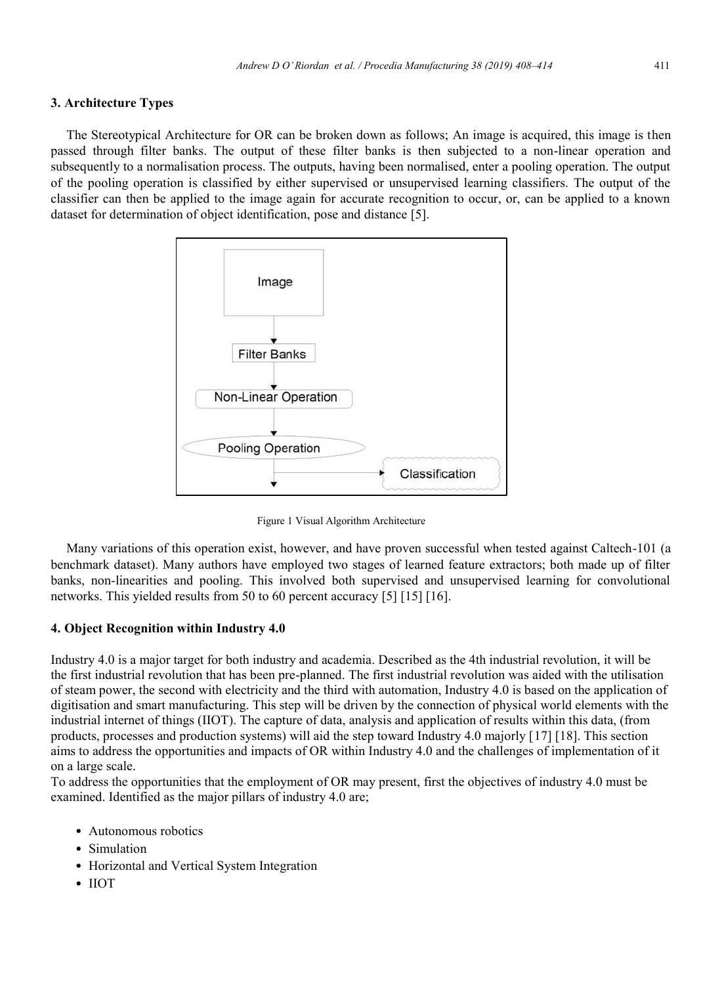# **3. Architecture Types**

The Stereotypical Architecture for OR can be broken down as follows; An image is acquired, this image is then passed through filter banks. The output of these filter banks is then subjected to a non-linear operation and subsequently to a normalisation process. The outputs, having been normalised, enter a pooling operation. The output of the pooling operation is classified by either supervised or unsupervised learning classifiers. The output of the classifier can then be applied to the image again for accurate recognition to occur, or, can be applied to a known dataset for determination of object identification, pose and distance [5].



Figure 1 Visual Algorithm Architecture

Many variations of this operation exist, however, and have proven successful when tested against Caltech-101 (a benchmark dataset). Many authors have employed two stages of learned feature extractors; both made up of filter banks, non-linearities and pooling. This involved both supervised and unsupervised learning for convolutional networks. This yielded results from 50 to 60 percent accuracy [5] [15] [16].

# **4. Object Recognition within Industry 4.0**

Industry 4.0 is a major target for both industry and academia. Described as the 4th industrial revolution, it will be the first industrial revolution that has been pre-planned. The first industrial revolution was aided with the utilisation of steam power, the second with electricity and the third with automation, Industry 4.0 is based on the application of digitisation and smart manufacturing. This step will be driven by the connection of physical world elements with the industrial internet of things (IIOT). The capture of data, analysis and application of results within this data, (from products, processes and production systems) will aid the step toward Industry 4.0 majorly [17] [18]. This section aims to address the opportunities and impacts of OR within Industry 4.0 and the challenges of implementation of it on a large scale.

To address the opportunities that the employment of OR may present, first the objectives of industry 4.0 must be examined. Identified as the major pillars of industry 4.0 are;

- Autonomous robotics
- Simulation
- Horizontal and Vertical System Integration
- IIOT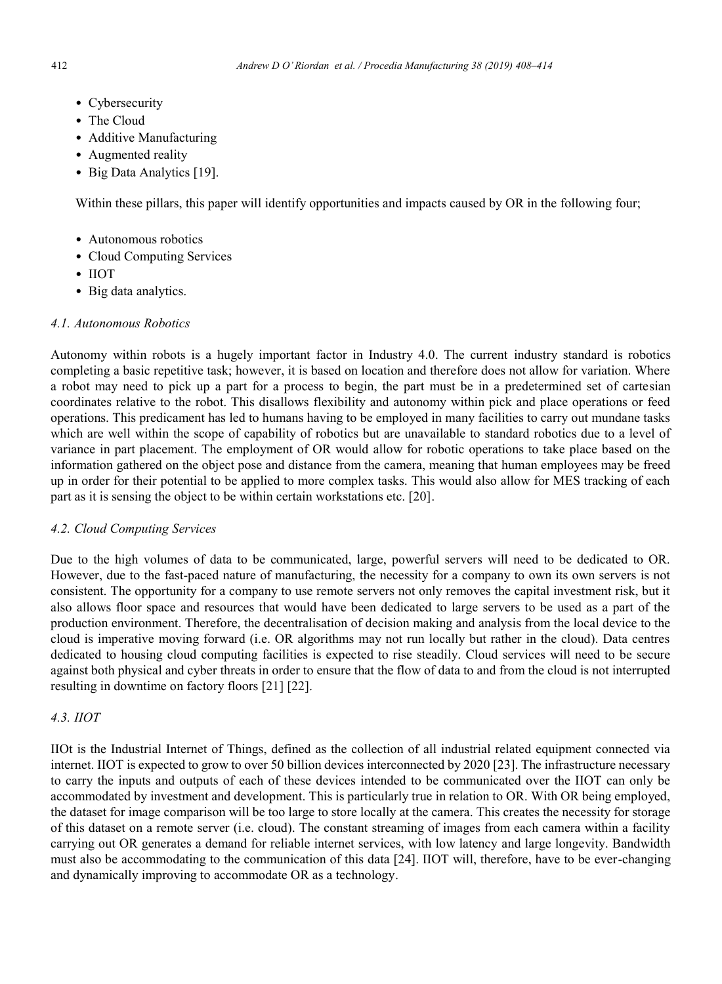- Cybersecurity
- The Cloud
- Additive Manufacturing
- Augmented reality
- Big Data Analytics [19].

Within these pillars, this paper will identify opportunities and impacts caused by OR in the following four;

- Autonomous robotics
- Cloud Computing Services
- IIOT
- Big data analytics.

# *4.1. Autonomous Robotics*

Autonomy within robots is a hugely important factor in Industry 4.0. The current industry standard is robotics completing a basic repetitive task; however, it is based on location and therefore does not allow for variation. Where a robot may need to pick up a part for a process to begin, the part must be in a predetermined set of cartesian coordinates relative to the robot. This disallows flexibility and autonomy within pick and place operations or feed operations. This predicament has led to humans having to be employed in many facilities to carry out mundane tasks which are well within the scope of capability of robotics but are unavailable to standard robotics due to a level of variance in part placement. The employment of OR would allow for robotic operations to take place based on the information gathered on the object pose and distance from the camera, meaning that human employees may be freed up in order for their potential to be applied to more complex tasks. This would also allow for MES tracking of each part as it is sensing the object to be within certain workstations etc. [20].

# *4.2. Cloud Computing Services*

Due to the high volumes of data to be communicated, large, powerful servers will need to be dedicated to OR. However, due to the fast-paced nature of manufacturing, the necessity for a company to own its own servers is not consistent. The opportunity for a company to use remote servers not only removes the capital investment risk, but it also allows floor space and resources that would have been dedicated to large servers to be used as a part of the production environment. Therefore, the decentralisation of decision making and analysis from the local device to the cloud is imperative moving forward (i.e. OR algorithms may not run locally but rather in the cloud). Data centres dedicated to housing cloud computing facilities is expected to rise steadily. Cloud services will need to be secure against both physical and cyber threats in order to ensure that the flow of data to and from the cloud is not interrupted resulting in downtime on factory floors [21] [22].

# *4.3. IIOT*

IIOt is the Industrial Internet of Things, defined as the collection of all industrial related equipment connected via internet. IIOT is expected to grow to over 50 billion devices interconnected by 2020 [23]. The infrastructure necessary to carry the inputs and outputs of each of these devices intended to be communicated over the IIOT can only be accommodated by investment and development. This is particularly true in relation to OR. With OR being employed, the dataset for image comparison will be too large to store locally at the camera. This creates the necessity for storage of this dataset on a remote server (i.e. cloud). The constant streaming of images from each camera within a facility carrying out OR generates a demand for reliable internet services, with low latency and large longevity. Bandwidth must also be accommodating to the communication of this data [24]. IIOT will, therefore, have to be ever-changing and dynamically improving to accommodate OR as a technology.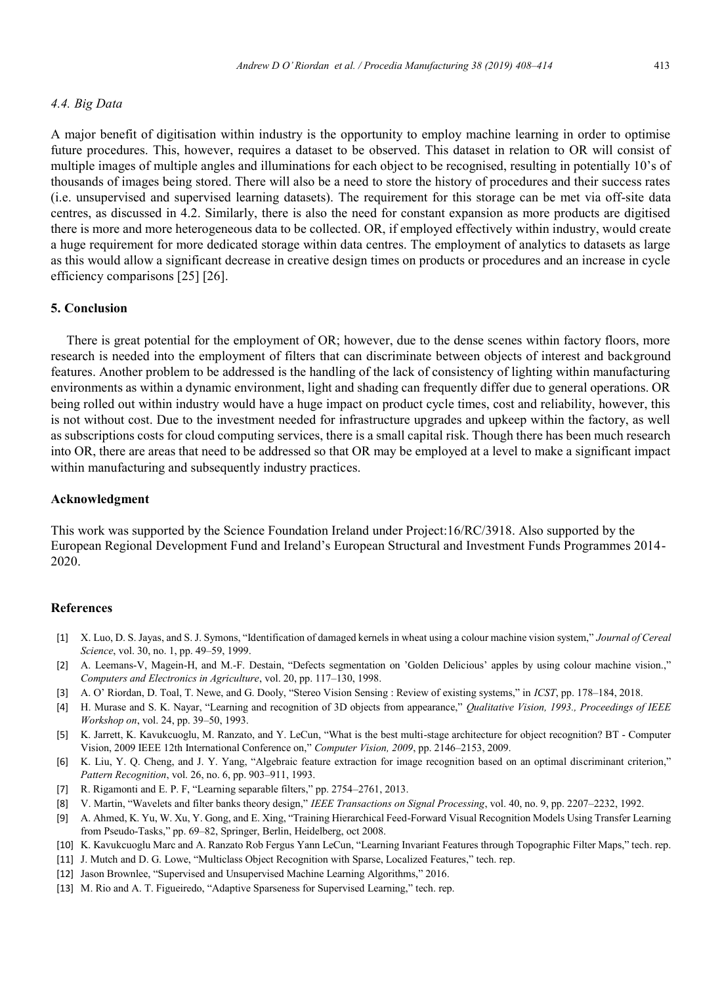#### *4.4. Big Data*

A major benefit of digitisation within industry is the opportunity to employ machine learning in order to optimise future procedures. This, however, requires a dataset to be observed. This dataset in relation to OR will consist of multiple images of multiple angles and illuminations for each object to be recognised, resulting in potentially 10's of thousands of images being stored. There will also be a need to store the history of procedures and their success rates (i.e. unsupervised and supervised learning datasets). The requirement for this storage can be met via off-site data centres, as discussed in 4.2. Similarly, there is also the need for constant expansion as more products are digitised there is more and more heterogeneous data to be collected. OR, if employed effectively within industry, would create a huge requirement for more dedicated storage within data centres. The employment of analytics to datasets as large as this would allow a significant decrease in creative design times on products or procedures and an increase in cycle efficiency comparisons [25] [26].

# **5. Conclusion**

There is great potential for the employment of OR; however, due to the dense scenes within factory floors, more research is needed into the employment of filters that can discriminate between objects of interest and background features. Another problem to be addressed is the handling of the lack of consistency of lighting within manufacturing environments as within a dynamic environment, light and shading can frequently differ due to general operations. OR being rolled out within industry would have a huge impact on product cycle times, cost and reliability, however, this is not without cost. Due to the investment needed for infrastructure upgrades and upkeep within the factory, as well as subscriptions costs for cloud computing services, there is a small capital risk. Though there has been much research into OR, there are areas that need to be addressed so that OR may be employed at a level to make a significant impact within manufacturing and subsequently industry practices.

# **Acknowledgment**

This work was supported by the Science Foundation Ireland under Project:16/RC/3918. Also supported by the European Regional Development Fund and Ireland's European Structural and Investment Funds Programmes 2014- 2020.

#### **References**

- [1] X. Luo, D. S. Jayas, and S. J. Symons, "Identification of damaged kernels in wheat using a colour machine vision system," *Journal of Cereal Science*, vol. 30, no. 1, pp. 49–59, 1999.
- [2] A. Leemans-V, Magein-H, and M.-F. Destain, "Defects segmentation on 'Golden Delicious' apples by using colour machine vision.," *Computers and Electronics in Agriculture*, vol. 20, pp. 117–130, 1998.
- [3] A. O' Riordan, D. Toal, T. Newe, and G. Dooly, "Stereo Vision Sensing : Review of existing systems," in *ICST*, pp. 178–184, 2018.
- [4] H. Murase and S. K. Nayar, "Learning and recognition of 3D objects from appearance," *Qualitative Vision, 1993., Proceedings of IEEE Workshop on*, vol. 24, pp. 39–50, 1993.
- [5] K. Jarrett, K. Kavukcuoglu, M. Ranzato, and Y. LeCun, "What is the best multi-stage architecture for object recognition? BT Computer Vision, 2009 IEEE 12th International Conference on," *Computer Vision, 2009*, pp. 2146–2153, 2009.
- [6] K. Liu, Y. Q. Cheng, and J. Y. Yang, "Algebraic feature extraction for image recognition based on an optimal discriminant criterion," *Pattern Recognition*, vol. 26, no. 6, pp. 903–911, 1993.
- [7] R. Rigamonti and E. P. F, "Learning separable filters," pp. 2754–2761, 2013.
- [8] V. Martin, "Wavelets and filter banks theory design," *IEEE Transactions on Signal Processing*, vol. 40, no. 9, pp. 2207–2232, 1992.
- [9] A. Ahmed, K. Yu, W. Xu, Y. Gong, and E. Xing, "Training Hierarchical Feed-Forward Visual Recognition Models Using Transfer Learning from Pseudo-Tasks," pp. 69–82, Springer, Berlin, Heidelberg, oct 2008.
- [10] K. Kavukcuoglu Marc and A. Ranzato Rob Fergus Yann LeCun, "Learning Invariant Features through Topographic Filter Maps," tech. rep.
- [11] J. Mutch and D. G. Lowe, "Multiclass Object Recognition with Sparse, Localized Features," tech. rep.
- [12] Jason Brownlee, "Supervised and Unsupervised Machine Learning Algorithms," 2016.
- [13] M. Rio and A. T. Figueiredo, "Adaptive Sparseness for Supervised Learning," tech. rep.